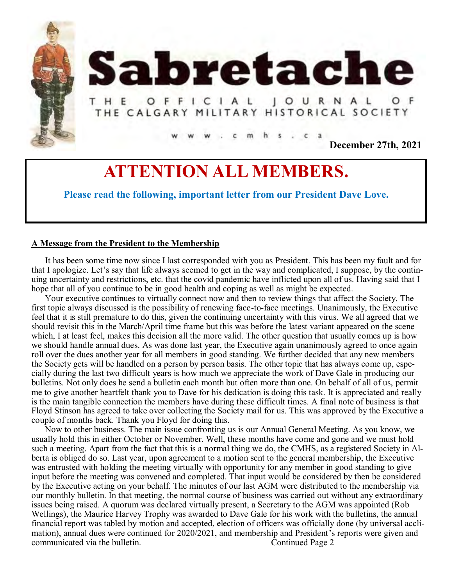



## HE OFFICIAL JOURNAL **THE CALGARY MILITARY HISTORICAL SOCIETY**

**December 27th, 2021**

# **ATTENTION ALL MEMBERS.**

**Please read the following, important letter from our President Dave Love.** 

### **A Message from the President to the Membership**

It has been some time now since I last corresponded with you as President. This has been my fault and for that I apologize. Let's say that life always seemed to get in the way and complicated, I suppose, by the continuing uncertainty and restrictions, etc. that the covid pandemic have inflicted upon all of us. Having said that I hope that all of you continue to be in good health and coping as well as might be expected.

Your executive continues to virtually connect now and then to review things that affect the Society. The first topic always discussed is the possibility of renewing face-to-face meetings. Unanimously, the Executive feel that it is still premature to do this, given the continuing uncertainty with this virus. We all agreed that we should revisit this in the March/April time frame but this was before the latest variant appeared on the scene which, I at least feel, makes this decision all the more valid. The other question that usually comes up is how we should handle annual dues. As was done last year, the Executive again unanimously agreed to once again roll over the dues another year for all members in good standing. We further decided that any new members the Society gets will be handled on a person by person basis. The other topic that has always come up, especially during the last two difficult years is how much we appreciate the work of Dave Gale in producing our bulletins. Not only does he send a bulletin each month but often more than one. On behalf of all of us, permit me to give another heartfelt thank you to Dave for his dedication is doing this task. It is appreciated and really is the main tangible connection the members have during these difficult times. A final note of business is that Floyd Stinson has agreed to take over collecting the Society mail for us. This was approved by the Executive a couple of months back. Thank you Floyd for doing this.

Now to other business. The main issue confronting us is our Annual General Meeting. As you know, we usually hold this in either October or November. Well, these months have come and gone and we must hold such a meeting. Apart from the fact that this is a normal thing we do, the CMHS, as a registered Society in Alberta is obliged do so. Last year, upon agreement to a motion sent to the general membership, the Executive was entrusted with holding the meeting virtually with opportunity for any member in good standing to give input before the meeting was convened and completed. That input would be considered by then be considered by the Executive acting on your behalf. The minutes of our last AGM were distributed to the membership via our monthly bulletin. In that meeting, the normal course of business was carried out without any extraordinary issues being raised. A quorum was declared virtually present, a Secretary to the AGM was appointed (Rob Wellings), the Maurice Harvey Trophy was awarded to Dave Gale for his work with the bulletins, the annual financial report was tabled by motion and accepted, election of officers was officially done (by universal acclimation), annual dues were continued for 2020/2021, and membership and President's reports were given and communicated via the bulletin. Continued Page 2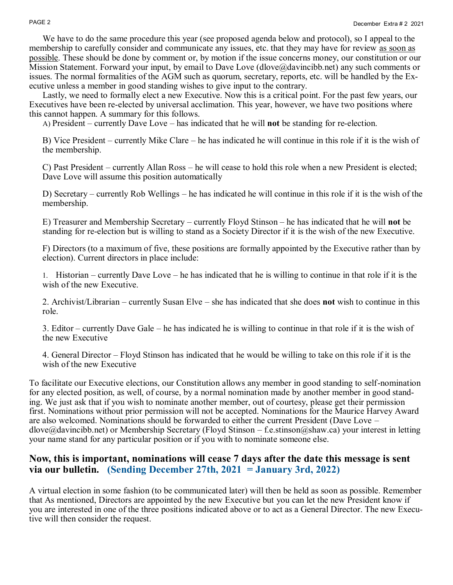We have to do the same procedure this year (see proposed agenda below and protocol), so I appeal to the membership to carefully consider and communicate any issues, etc. that they may have for review as soon as possible. These should be done by comment or, by motion if the issue concerns money, our constitution or our Mission Statement. Forward your input, by email to Dave Love (dlove@davincibb.net) any such comments or issues. The normal formalities of the AGM such as quorum, secretary, reports, etc. will be handled by the Executive unless a member in good standing wishes to give input to the contrary.

Lastly, we need to formally elect a new Executive. Now this is a critical point. For the past few years, our Executives have been re-elected by universal acclimation. This year, however, we have two positions where this cannot happen. A summary for this follows.

A) President – currently Dave Love – has indicated that he will **not** be standing for re-election.

B) Vice President – currently Mike Clare – he has indicated he will continue in this role if it is the wish of the membership.

C) Past President – currently Allan Ross – he will cease to hold this role when a new President is elected; Dave Love will assume this position automatically

D) Secretary – currently Rob Wellings – he has indicated he will continue in this role if it is the wish of the membership.

E) Treasurer and Membership Secretary – currently Floyd Stinson – he has indicated that he will **not** be standing for re-election but is willing to stand as a Society Director if it is the wish of the new Executive.

F) Directors (to a maximum of five, these positions are formally appointed by the Executive rather than by election). Current directors in place include:

1. Historian – currently Dave Love – he has indicated that he is willing to continue in that role if it is the wish of the new Executive.

2. Archivist/Librarian – currently Susan Elve – she has indicated that she does **not** wish to continue in this role.

3. Editor – currently Dave Gale – he has indicated he is willing to continue in that role if it is the wish of the new Executive

4. General Director – Floyd Stinson has indicated that he would be willing to take on this role if it is the wish of the new Executive

To facilitate our Executive elections, our Constitution allows any member in good standing to self-nomination for any elected position, as well, of course, by a normal nomination made by another member in good standing. We just ask that if you wish to nominate another member, out of courtesy, please get their permission first. Nominations without prior permission will not be accepted. Nominations for the Maurice Harvey Award are also welcomed. Nominations should be forwarded to either the current President (Dave Love – dlove@davincibb.net) or Membership Secretary (Floyd Stinson – f.e.stinson@shaw.ca) your interest in letting your name stand for any particular position or if you with to nominate someone else.

### **Now, this is important, nominations will cease 7 days after the date this message is sent via our bulletin. (Sending December 27th, 2021 = January 3rd, 2022)**

A virtual election in some fashion (to be communicated later) will then be held as soon as possible. Remember that As mentioned, Directors are appointed by the new Executive but you can let the new President know if you are interested in one of the three positions indicated above or to act as a General Director. The new Executive will then consider the request.